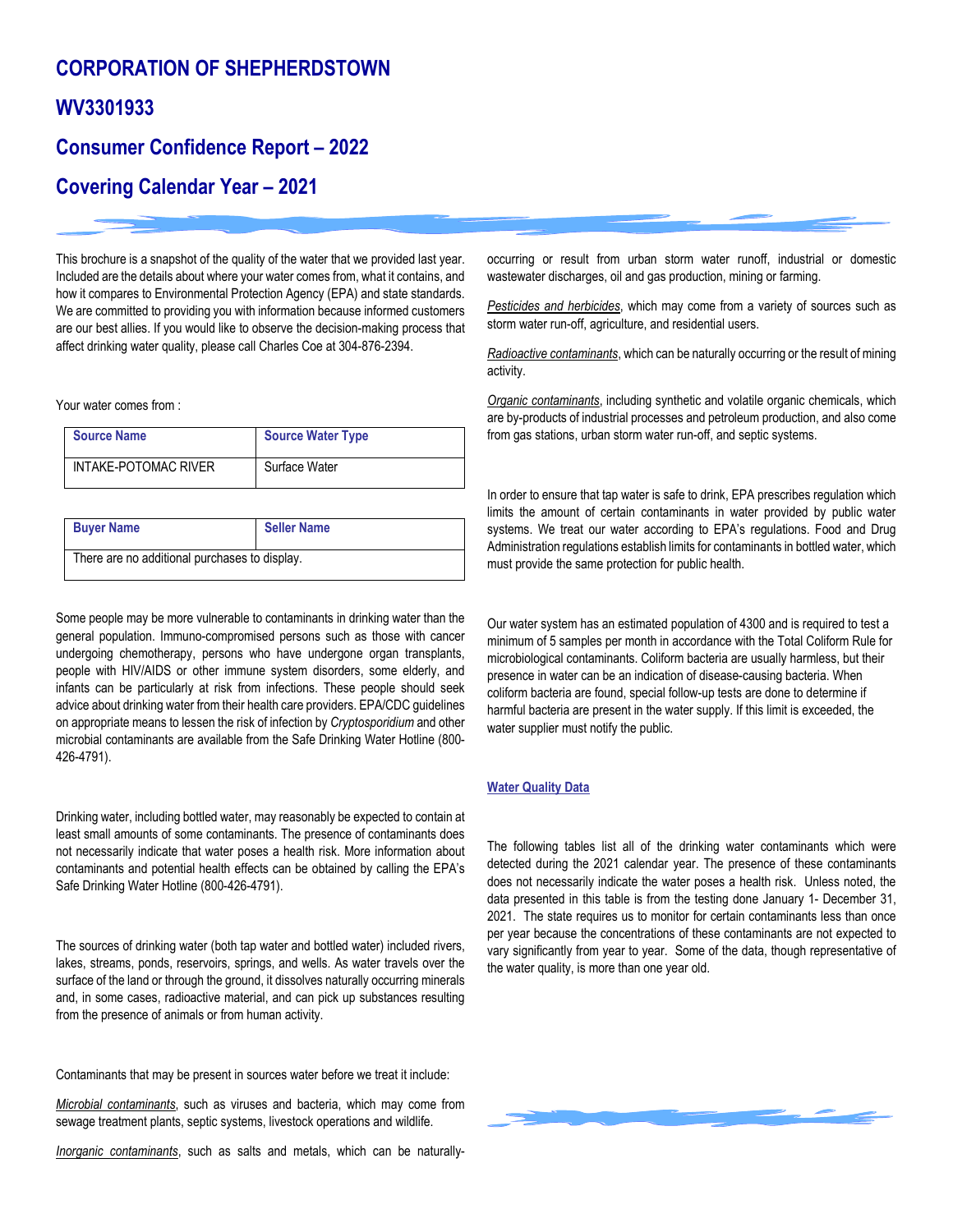# **CORPORATION OF SHEPHERDSTOWN WV3301933**

## **Consumer Confidence Report – 2022**

### **Covering Calendar Year – 2021**

This brochure is a snapshot of the quality of the water that we provided last year. Included are the details about where your water comes from, what it contains, and how it compares to Environmental Protection Agency (EPA) and state standards. We are committed to providing you with information because informed customers are our best allies. If you would like to observe the decision-making process that affect drinking water quality, please call Charles Coe at 304-876-2394.

Your water comes from :

| <b>Source Name</b>   | <b>Source Water Type</b> |
|----------------------|--------------------------|
| INTAKE-POTOMAC RIVER | Surface Water            |

| <b>Buyer Name</b>                             | <b>Seller Name</b> |  |  |
|-----------------------------------------------|--------------------|--|--|
| There are no additional purchases to display. |                    |  |  |

Some people may be more vulnerable to contaminants in drinking water than the general population. Immuno-compromised persons such as those with cancer undergoing chemotherapy, persons who have undergone organ transplants, people with HIV/AIDS or other immune system disorders, some elderly, and infants can be particularly at risk from infections. These people should seek advice about drinking water from their health care providers. EPA/CDC guidelines on appropriate means to lessen the risk of infection by *Cryptosporidium* and other microbial contaminants are available from the Safe Drinking Water Hotline (800- 426-4791).

Drinking water, including bottled water, may reasonably be expected to contain at least small amounts of some contaminants. The presence of contaminants does not necessarily indicate that water poses a health risk. More information about contaminants and potential health effects can be obtained by calling the EPA's Safe Drinking Water Hotline (800-426-4791).

The sources of drinking water (both tap water and bottled water) included rivers, lakes, streams, ponds, reservoirs, springs, and wells. As water travels over the surface of the land or through the ground, it dissolves naturally occurring minerals and, in some cases, radioactive material, and can pick up substances resulting from the presence of animals or from human activity.

Contaminants that may be present in sources water before we treat it include:

*Microbial contaminants*, such as viruses and bacteria, which may come from sewage treatment plants, septic systems, livestock operations and wildlife.

*Inorganic contaminants*, such as salts and metals, which can be naturally-

occurring or result from urban storm water runoff, industrial or domestic wastewater discharges, oil and gas production, mining or farming.

*Pesticides and herbicides*, which may come from a variety of sources such as storm water run-off, agriculture, and residential users.

*Radioactive contaminants*, which can be naturally occurring or the result of mining activity.

*Organic contaminants*, including synthetic and volatile organic chemicals, which are by-products of industrial processes and petroleum production, and also come from gas stations, urban storm water run-off, and septic systems.

In order to ensure that tap water is safe to drink, EPA prescribes regulation which limits the amount of certain contaminants in water provided by public water systems. We treat our water according to EPA's regulations. Food and Drug Administration regulations establish limits for contaminants in bottled water, which must provide the same protection for public health.

Our water system has an estimated population of 4300 and is required to test a minimum of 5 samples per month in accordance with the Total Coliform Rule for microbiological contaminants. Coliform bacteria are usually harmless, but their presence in water can be an indication of disease-causing bacteria. When coliform bacteria are found, special follow-up tests are done to determine if harmful bacteria are present in the water supply. If this limit is exceeded, the water supplier must notify the public.

#### **Water Quality Data**

The following tables list all of the drinking water contaminants which were detected during the 2021 calendar year. The presence of these contaminants does not necessarily indicate the water poses a health risk. Unless noted, the data presented in this table is from the testing done January 1- December 31, 2021. The state requires us to monitor for certain contaminants less than once per year because the concentrations of these contaminants are not expected to vary significantly from year to year. Some of the data, though representative of the water quality, is more than one year old.

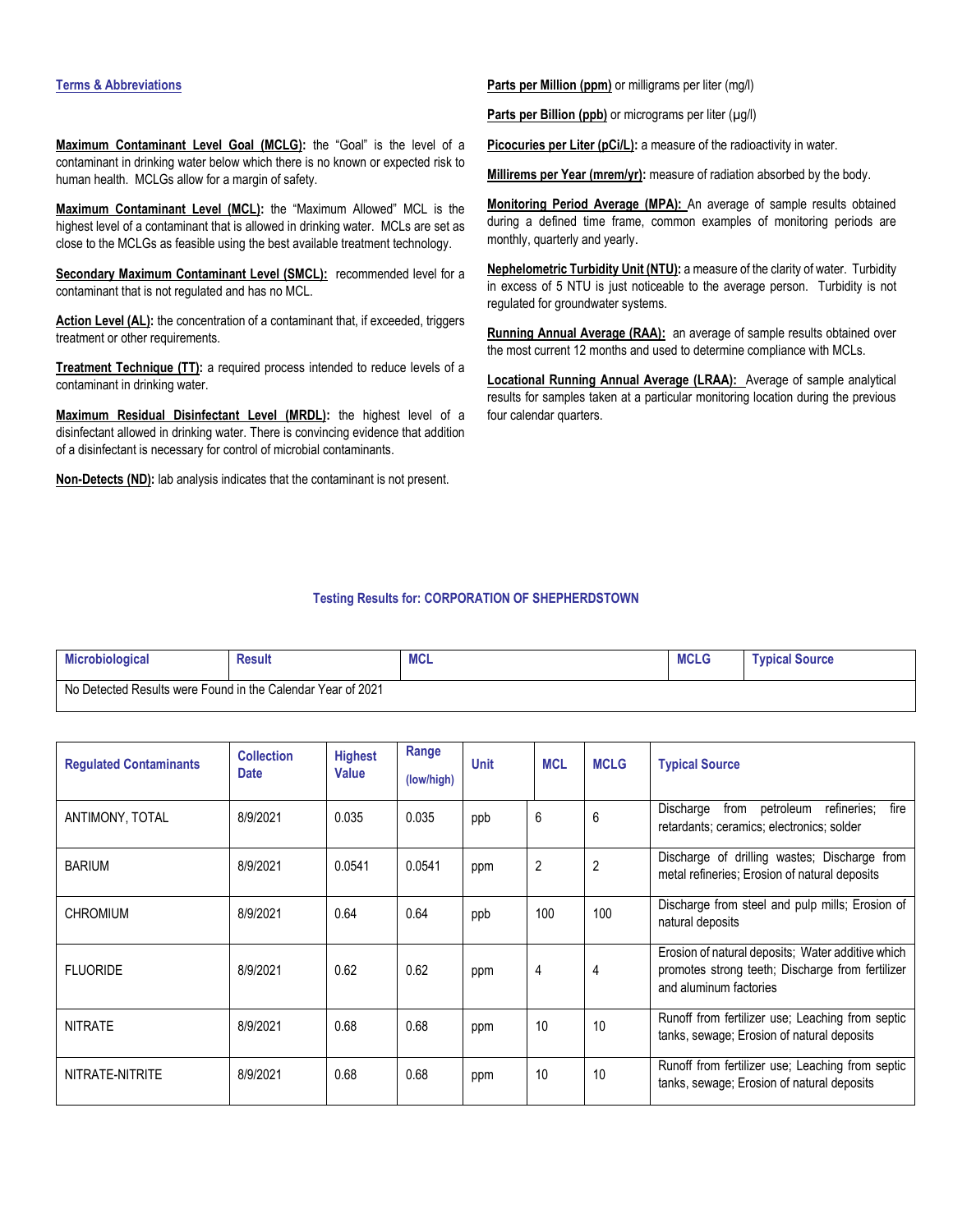#### **Terms & Abbreviations**

**Maximum Contaminant Level Goal (MCLG):** the "Goal" is the level of a contaminant in drinking water below which there is no known or expected risk to human health. MCLGs allow for a margin of safety.

**Maximum Contaminant Level (MCL):** the "Maximum Allowed" MCL is the highest level of a contaminant that is allowed in drinking water. MCLs are set as close to the MCLGs as feasible using the best available treatment technology.

**Secondary Maximum Contaminant Level (SMCL):** recommended level for a contaminant that is not regulated and has no MCL.

Action Level (AL): the concentration of a contaminant that, if exceeded, triggers treatment or other requirements.

**Treatment Technique (TT):** a required process intended to reduce levels of a contaminant in drinking water.

**Maximum Residual Disinfectant Level (MRDL):** the highest level of a disinfectant allowed in drinking water. There is convincing evidence that addition of a disinfectant is necessary for control of microbial contaminants.

**Non-Detects (ND):** lab analysis indicates that the contaminant is not present.

**Parts per Million (ppm)** or milligrams per liter (mg/l)

Parts per Billion (ppb) or micrograms per liter (µg/l)

**Picocuries per Liter (pCi/L):** a measure of the radioactivity in water.

Millirems per Year (mrem/yr): measure of radiation absorbed by the body.

**Monitoring Period Average (MPA):** An average of sample results obtained during a defined time frame, common examples of monitoring periods are monthly, quarterly and yearly.

**Nephelometric Turbidity Unit (NTU):** a measure of the clarity of water. Turbidity in excess of 5 NTU is just noticeable to the average person. Turbidity is not regulated for groundwater systems.

Running Annual Average (RAA): an average of sample results obtained over the most current 12 months and used to determine compliance with MCLs.

**Locational Running Annual Average (LRAA):** Average of sample analytical results for samples taken at a particular monitoring location during the previous four calendar quarters.

#### **Testing Results for: CORPORATION OF SHEPHERDSTOWN**

| <b>Microbiological</b> | <b>Result</b>                                            | <b>MCL</b> | <b>MCLG</b> | <b>Typical Source</b> |
|------------------------|----------------------------------------------------------|------------|-------------|-----------------------|
| No D                   | Detected Results were Found in the Calendar Year of 2021 |            |             |                       |

| <b>Regulated Contaminants</b> | <b>Collection</b><br><b>Date</b> | <b>Highest</b><br><b>Value</b> | Range<br>(low/high) | <b>Unit</b> | <b>MCL</b> | <b>MCLG</b>    | <b>Typical Source</b>                                                                                                           |
|-------------------------------|----------------------------------|--------------------------------|---------------------|-------------|------------|----------------|---------------------------------------------------------------------------------------------------------------------------------|
| ANTIMONY, TOTAL               | 8/9/2021                         | 0.035                          | 0.035               | ppb         | 6          | 6              | fire<br>Discharge<br>from<br>refineries:<br>petroleum<br>retardants; ceramics; electronics; solder                              |
| <b>BARIUM</b>                 | 8/9/2021                         | 0.0541                         | 0.0541              | ppm         | 2          | $\overline{2}$ | Discharge of drilling wastes; Discharge from<br>metal refineries; Erosion of natural deposits                                   |
| <b>CHROMIUM</b>               | 8/9/2021                         | 0.64                           | 0.64                | ppb         | 100        | 100            | Discharge from steel and pulp mills; Erosion of<br>natural deposits                                                             |
| <b>FLUORIDE</b>               | 8/9/2021                         | 0.62                           | 0.62                | ppm         | 4          | 4              | Erosion of natural deposits; Water additive which<br>promotes strong teeth; Discharge from fertilizer<br>and aluminum factories |
| <b>NITRATE</b>                | 8/9/2021                         | 0.68                           | 0.68                | ppm         | 10         | 10             | Runoff from fertilizer use; Leaching from septic<br>tanks, sewage; Erosion of natural deposits                                  |
| NITRATE-NITRITE               | 8/9/2021                         | 0.68                           | 0.68                | ppm         | 10         | 10             | Runoff from fertilizer use; Leaching from septic<br>tanks, sewage; Erosion of natural deposits                                  |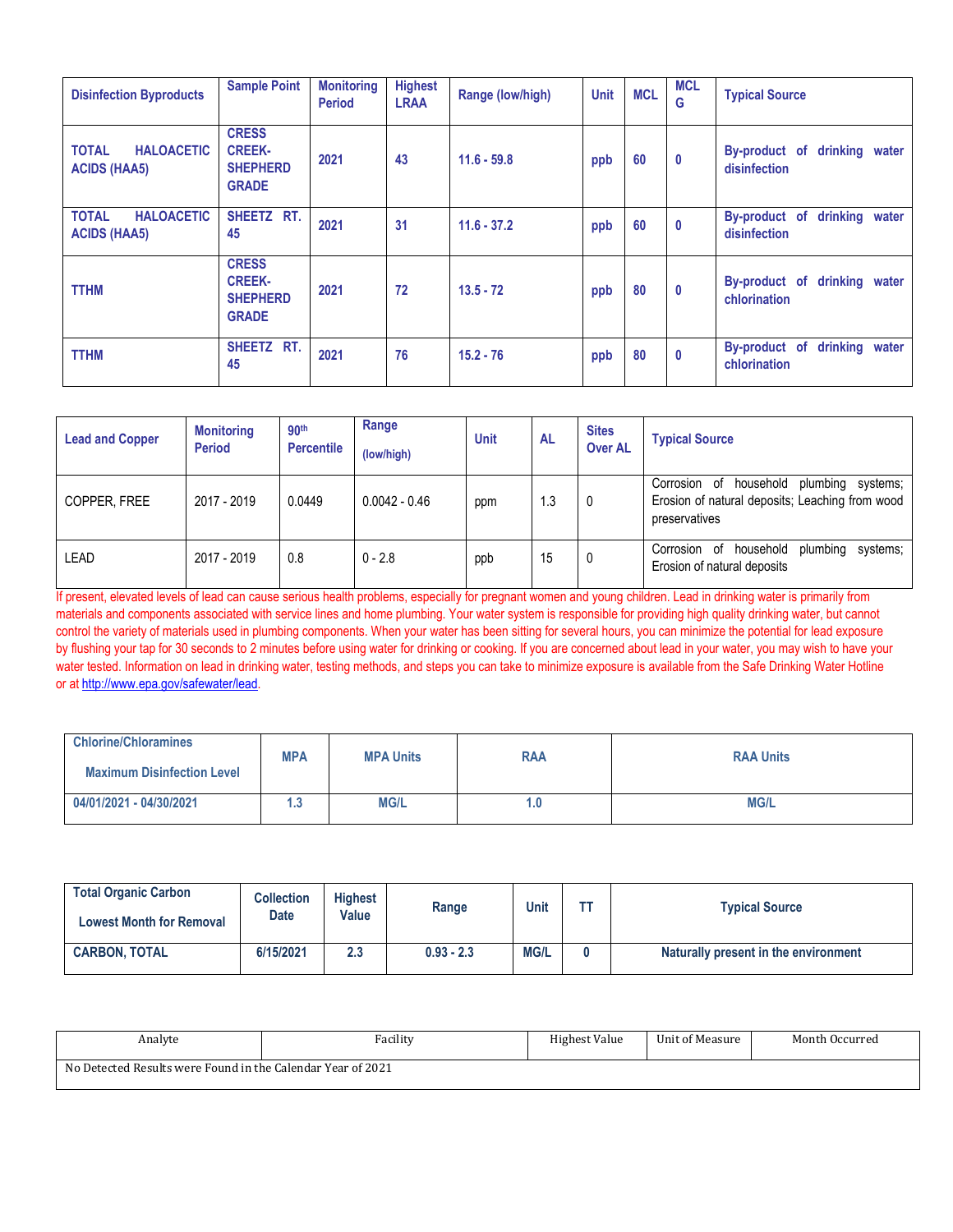| <b>Disinfection Byproducts</b>                           | <b>Sample Point</b>                                              | <b>Monitoring</b><br><b>Period</b> | <b>Highest</b><br><b>LRAA</b> | Range (low/high) | <b>Unit</b> | <b>MCL</b> | <b>MCL</b><br>G | <b>Typical Source</b>                           |
|----------------------------------------------------------|------------------------------------------------------------------|------------------------------------|-------------------------------|------------------|-------------|------------|-----------------|-------------------------------------------------|
| <b>HALOACETIC</b><br><b>TOTAL</b><br><b>ACIDS (HAA5)</b> | <b>CRESS</b><br><b>CREEK-</b><br><b>SHEPHERD</b><br><b>GRADE</b> | 2021                               | 43                            | $11.6 - 59.8$    | ppb         | 60         | $\mathbf{0}$    | By-product of drinking water<br>disinfection    |
| <b>TOTAL</b><br><b>HALOACETIC</b><br><b>ACIDS (HAA5)</b> | SHEETZ RT.<br>45                                                 | 2021                               | 31                            | $11.6 - 37.2$    | ppb         | 60         | $\mathbf{0}$    | By-product of<br>drinking water<br>disinfection |
| <b>TTHM</b>                                              | <b>CRESS</b><br><b>CREEK-</b><br><b>SHEPHERD</b><br><b>GRADE</b> | 2021                               | 72                            | $13.5 - 72$      | ppb         | 80         | $\mathbf{0}$    | drinking water<br>By-product of<br>chlorination |
| <b>TTHM</b>                                              | SHEETZ RT.<br>45                                                 | 2021                               | 76                            | $15.2 - 76$      | ppb         | 80         | $\bf{0}$        | By-product of<br>drinking water<br>chlorination |

| <b>Lead and Copper</b> | <b>Monitoring</b><br><b>Period</b> | 90 <sup>th</sup><br><b>Percentile</b> | Range<br>(low/high) | <b>Unit</b> | <b>AL</b> | <b>Sites</b><br><b>Over AL</b> | <b>Typical Source</b>                                                                                              |
|------------------------|------------------------------------|---------------------------------------|---------------------|-------------|-----------|--------------------------------|--------------------------------------------------------------------------------------------------------------------|
| COPPER, FREE           | 2017 - 2019                        | 0.0449                                | $0.0042 - 0.46$     | ppm         | 1.3       | 0                              | household<br>plumbing systems;<br>Corrosion of<br>Erosion of natural deposits; Leaching from wood<br>preservatives |
| LEAD                   | 2017 - 2019                        | 0.8                                   | $0 - 2.8$           | ppb         | 15        | 0                              | household<br>plumbing<br>Corrosion<br>of<br>systems:<br>Erosion of natural deposits                                |

If present, elevated levels of lead can cause serious health problems, especially for pregnant women and young children. Lead in drinking water is primarily from materials and components associated with service lines and home plumbing. Your water system is responsible for providing high quality drinking water, but cannot control the variety of materials used in plumbing components. When your water has been sitting for several hours, you can minimize the potential for lead exposure by flushing your tap for 30 seconds to 2 minutes before using water for drinking or cooking. If you are concerned about lead in your water, you may wish to have your water tested. Information on lead in drinking water, testing methods, and steps you can take to minimize exposure is available from the Safe Drinking Water Hotline or at [http://www.epa.gov/safewater/lead.](http://www.epa.gov/safewater/lead) 

| <b>Chlorine/Chloramines</b>       |            |                  |            |                  |  |
|-----------------------------------|------------|------------------|------------|------------------|--|
| <b>Maximum Disinfection Level</b> | <b>MPA</b> | <b>MPA Units</b> | <b>RAA</b> | <b>RAA Units</b> |  |
| 04/01/2021 - 04/30/2021           | ن. ا       | <b>MG/L</b>      | 0.1        | <b>MG/L</b>      |  |

| <b>Total Organic Carbon</b><br><b>Lowest Month for Removal</b> | <b>Collection</b><br><b>Date</b> | <b>Highest</b><br>Value | Range        | Unit        | тт | <b>Typical Source</b>                |
|----------------------------------------------------------------|----------------------------------|-------------------------|--------------|-------------|----|--------------------------------------|
| <b>CARBON, TOTAL</b>                                           | 6/15/2021                        | 2.3                     | $0.93 - 2.3$ | <b>MG/L</b> | 0  | Naturally present in the environment |

| Analyte                                                     | Facility | Highest Value | Unit of Measure | Month Occurred |  |  |
|-------------------------------------------------------------|----------|---------------|-----------------|----------------|--|--|
| No Detected Results were Found in the Calendar Year of 2021 |          |               |                 |                |  |  |